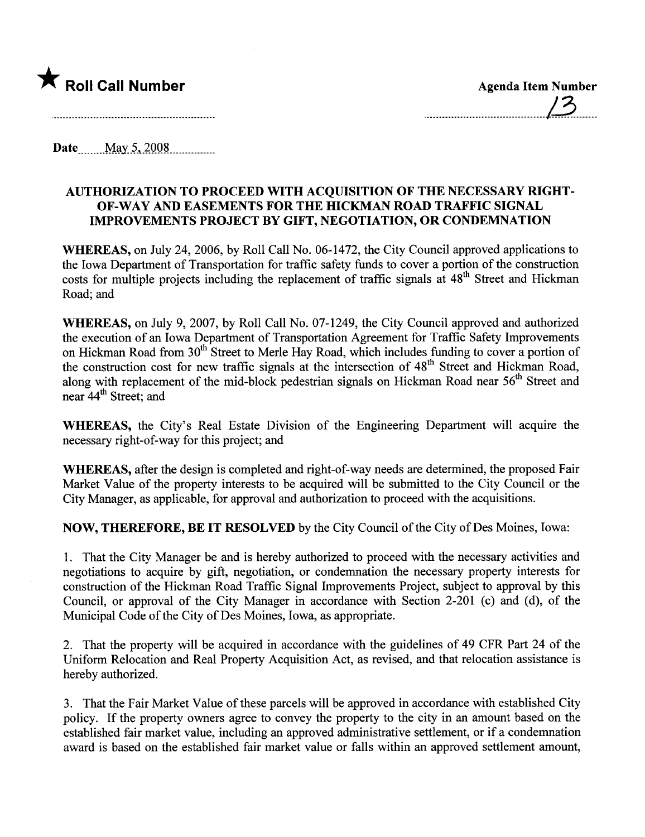

........................................l3.......

Date May 5, 2008

## AUTHORIZATION TO PROCEED WITH ACQUISITION OF THE NECESSARY RIGHT-OF -WAY AND EASEMENTS FOR THE HICKMAN ROAD TRAFFIC SIGNAL IMPROVEMENTS PROJECT BY GIFT, NEGOTIATION, OR CONDEMNATION

WHEREAS, on July 24,2006, by Roll Call No. 06-1472, the City Council approved applications to the Iowa Deparment of Transportation for traffic safety fuds to cover a portion of the construction costs for multiple projects including the replacement of traffic signals at 48<sup>th</sup> Street and Hickman Road; and

WHEREAS, on July 9, 2007, by Roll Call No. 07-1249, the City Council approved and authorized the execution of an Iowa Deparment of Transportation Agreement for Traffic Safety Improvements on Hickman Road from 30<sup>th</sup> Street to Merle Hay Road, which includes funding to cover a portion of the construction cost for new traffic signals at the intersection of 48<sup>th</sup> Street and Hickman Road, along with replacement of the mid-block pedestrian signals on Hickman Road near 56<sup>th</sup> Street and near 44<sup>th</sup> Street; and

WHEREAS, the City's Real Estate Division of the Engineering Department will acquire the necessary right-of-way for this project; and

WHEREAS, after the design is completed and right-of-way needs are determined, the proposed Fair Market Value of the property interests to be acquired will be submitted to the City Council or the City Manager, as applicable, for approval and authorization to proceed with the acquisitions.

NOW, THEREFORE, BE IT RESOLVED by the City Council of the City of Des Moines, Iowa:

1. That the City Manager be and is hereby authorized to proceed with the necessary activities and negotiations to acquire by gift, negotiation, or condemnation the necessary property interests for construction of the Hickman Road Traffic Signal Improvements Project, subject to approval by this Council, or approval of the City Manager in accordance with Section 2-201 (c) and (d), of the Municipal Code of the City of Des Moines, Iowa, as appropriate.

2. That the property will be acquired in accordance with the guidelines of 49 CFR Part 24 of the Uniform Relocation and Real Property Acquisition Act, as revised, and that relocation assistance is hereby authorized.

3. That the Fair Market Value of these parcels wil be approved in accordance with established City policy. If the property owners agree to convey the property to the city in an amount based on the established fair market value, including an approved administrative settlement, or if a condemnation award is based on the established fair market value or falls within an approved settlement amount,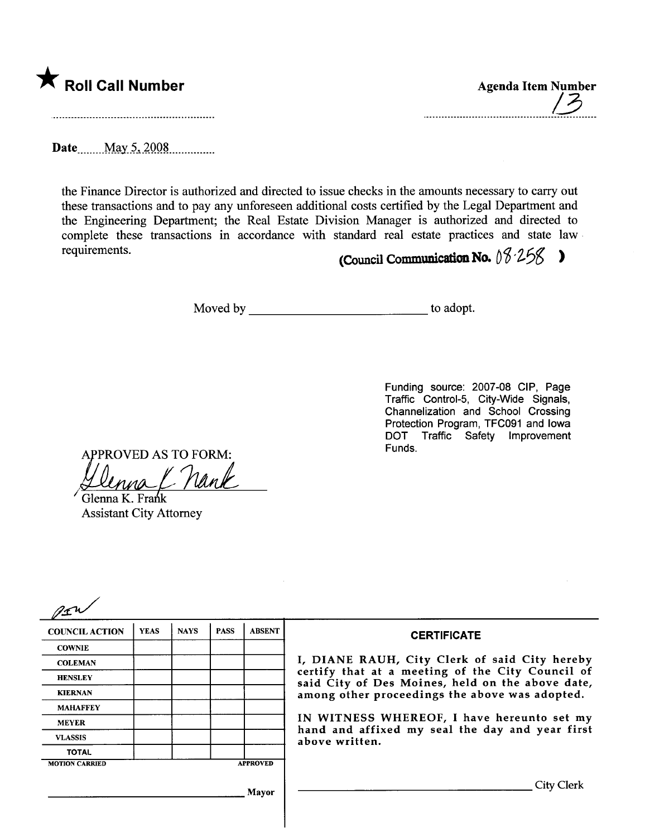

| <b>Agenda Item Number</b> |  |
|---------------------------|--|
|                           |  |

Date \_\_\_\_\_ May 5, 2008

the Finance Director is authorized and directed to issue checks in the amounts necessary to carry out these transactions and to pay any unforeseen additional costs certified by the Legal Deparment and the Engineering Department; the Real Estate Division Manager is authorized and directed to complete these transactions in accordance with standard real estate practices and state law. requirements.

(Council Communication No.  $08.258$ )

Moved by to adopt.

Funding source: 2007-08 CIP, Page Traffic Control-5, City-Wide Signals, Channelization and School Crossing Protection Program, TFC091 and Iowa DOT Traffic Safety Improvement Funds.

APPROVED AS TO FORM:<br>Llenna / Nank

Glenna K. Frank Assistant City Attorney

| <b>COUNCIL ACTION</b> | <b>YEAS</b> | <b>NAYS</b> | <b>PASS</b> | <b>ABSENT</b>   | <b>CERTIFICATE</b>                                                                                   |
|-----------------------|-------------|-------------|-------------|-----------------|------------------------------------------------------------------------------------------------------|
| <b>COWNIE</b>         |             |             |             |                 |                                                                                                      |
| <b>COLEMAN</b>        |             |             |             |                 | I, DIANE RAUH, City Clerk of said City hereby                                                        |
| <b>HENSLEY</b>        |             |             |             |                 | certify that at a meeting of the City Council of<br>said City of Des Moines, held on the above date, |
| <b>KIERNAN</b>        |             |             |             |                 | among other proceedings the above was adopted.                                                       |
| <b>MAHAFFEY</b>       |             |             |             |                 |                                                                                                      |
| <b>MEYER</b>          |             |             |             |                 | IN WITNESS WHEREOF, I have hereunto set my<br>hand and affixed my seal the day and year first        |
| <b>VLASSIS</b>        |             |             |             |                 | above written.                                                                                       |
| <b>TOTAL</b>          |             |             |             |                 |                                                                                                      |
| <b>MOTION CARRIED</b> |             |             |             | <b>APPROVED</b> |                                                                                                      |
|                       |             |             |             | Mayor           | City Clerk                                                                                           |